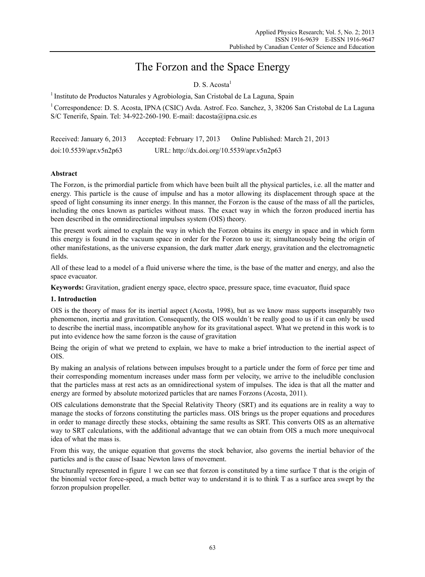# The Forzon and the Space Energy

 $D$ . S. Acosta<sup>1</sup>

<sup>1</sup> Instituto de Productos Naturales y Agrobiologia, San Cristobal de La Laguna, Spain

1 Correspondence: D. S. Acosta, IPNA (CSIC) Avda. Astrof. Fco. Sanchez, 3, 38206 San Cristobal de La Laguna S/C Tenerife, Spain. Tel: 34-922-260-190. E-mail: dacosta@ipna.csic.es

| Received: January 6, 2013 | Accepted: February 17, 2013                | Online Published: March 21, 2013 |
|---------------------------|--------------------------------------------|----------------------------------|
| doi:10.5539/apr.v5n2p63   | URL: http://dx.doi.org/10.5539/apr.v5n2p63 |                                  |

# **Abstract**

The Forzon, is the primordial particle from which have been built all the physical particles, i.e. all the matter and energy. This particle is the cause of impulse and has a motor allowing its displacement through space at the speed of light consuming its inner energy. In this manner, the Forzon is the cause of the mass of all the particles, including the ones known as particles without mass. The exact way in which the forzon produced inertia has been described in the omnidirectional impulses system (OIS) theory.

The present work aimed to explain the way in which the Forzon obtains its energy in space and in which form this energy is found in the vacuum space in order for the Forzon to use it; simultaneously being the origin of other manifestations, as the universe expansion, the dark matter ,dark energy, gravitation and the electromagnetic fields.

All of these lead to a model of a fluid universe where the time, is the base of the matter and energy, and also the space evacuator.

**Keywords:** Gravitation, gradient energy space, electro space, pressure space, time evacuator, fluid space

# **1. Introduction**

OIS is the theory of mass for its inertial aspect (Acosta, 1998), but as we know mass supports inseparably two phenomenon, inertia and gravitation. Consequently, the OIS wouldn´t be really good to us if it can only be used to describe the inertial mass, incompatible anyhow for its gravitational aspect. What we pretend in this work is to put into evidence how the same forzon is the cause of gravitation

Being the origin of what we pretend to explain, we have to make a brief introduction to the inertial aspect of OIS.

By making an analysis of relations between impulses brought to a particle under the form of force per time and their corresponding momentum increases under mass form per velocity, we arrive to the ineludible conclusion that the particles mass at rest acts as an omnidirectional system of impulses. The idea is that all the matter and energy are formed by absolute motorized particles that are names Forzons (Acosta, 2011).

OIS calculations demonstrate that the Special Relativity Theory (SRT) and its equations are in reality a way to manage the stocks of forzons constituting the particles mass. OIS brings us the proper equations and procedures in order to manage directly these stocks, obtaining the same results as SRT. This converts OIS as an alternative way to SRT calculations, with the additional advantage that we can obtain from OIS a much more unequivocal idea of what the mass is.

From this way, the unique equation that governs the stock behavior, also governs the inertial behavior of the particles and is the cause of Isaac Newton laws of movement.

Structurally represented in figure 1 we can see that forzon is constituted by a time surface T that is the origin of the binomial vector force-speed, a much better way to understand it is to think T as a surface area swept by the forzon propulsion propeller.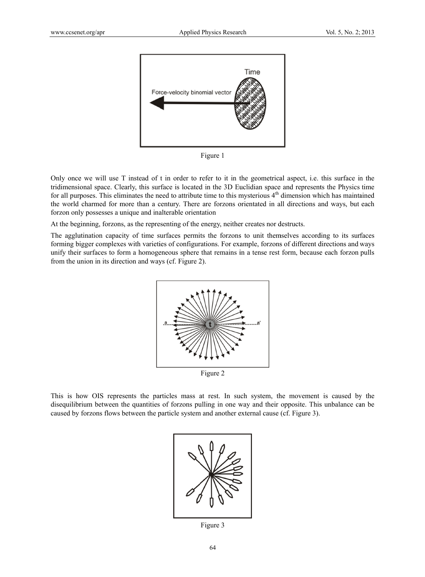

Figure 1

Only once we will use T instead of t in order to refer to it in the geometrical aspect, i.e. this surface in the tridimensional space. Clearly, this surface is located in the 3D Euclidian space and represents the Physics time for all purposes. This eliminates the need to attribute time to this mysterious  $4<sup>th</sup>$  dimension which has maintained the world charmed for more than a century. There are forzons orientated in all directions and ways, but each forzon only possesses a unique and inalterable orientation

At the beginning, forzons, as the representing of the energy, neither creates nor destructs.

The agglutination capacity of time surfaces permits the forzons to unit themselves according to its surfaces forming bigger complexes with varieties of configurations. For example, forzons of different directions and ways unify their surfaces to form a homogeneous sphere that remains in a tense rest form, because each forzon pulls from the union in its direction and ways (cf. Figure 2).



Figure 2

This is how OIS represents the particles mass at rest. In such system, the movement is caused by the disequilibrium between the quantities of forzons pulling in one way and their opposite. This unbalance can be caused by forzons flows between the particle system and another external cause (cf. Figure 3).



Figure 3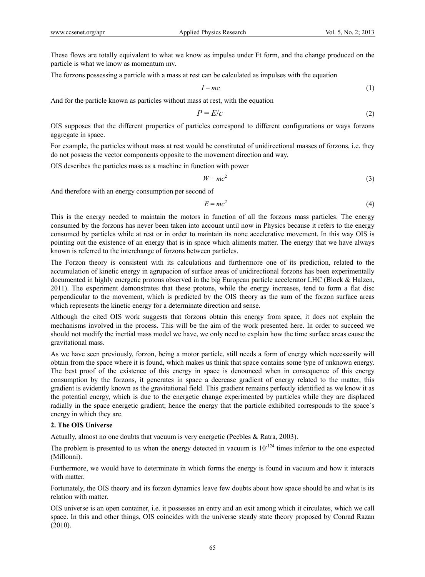These flows are totally equivalent to what we know as impulse under Ft form, and the change produced on the particle is what we know as momentum mv.

The forzons possessing a particle with a mass at rest can be calculated as impulses with the equation

$$
I = mc \tag{1}
$$

And for the particle known as particles without mass at rest, with the equation

$$
P = E/c \tag{2}
$$

OIS supposes that the different properties of particles correspond to different configurations or ways forzons aggregate in space.

For example, the particles without mass at rest would be constituted of unidirectional masses of forzons, i.e. they do not possess the vector components opposite to the movement direction and way.

OIS describes the particles mass as a machine in function with power

$$
W = mc^2 \tag{3}
$$

And therefore with an energy consumption per second of

$$
E = mc^2 \tag{4}
$$

This is the energy needed to maintain the motors in function of all the forzons mass particles. The energy consumed by the forzons has never been taken into account until now in Physics because it refers to the energy consumed by particles while at rest or in order to maintain its none accelerative movement. In this way OIS is pointing out the existence of an energy that is in space which aliments matter. The energy that we have always known is referred to the interchange of forzons between particles.

The Forzon theory is consistent with its calculations and furthermore one of its prediction, related to the accumulation of kinetic energy in agrupacion of surface areas of unidirectional forzons has been experimentally documented in highly energetic protons observed in the big European particle accelerator LHC (Block & Halzen, 2011). The experiment demonstrates that these protons, while the energy increases, tend to form a flat disc perpendicular to the movement, which is predicted by the OIS theory as the sum of the forzon surface areas which represents the kinetic energy for a determinate direction and sense.

Although the cited OIS work suggests that forzons obtain this energy from space, it does not explain the mechanisms involved in the process. This will be the aim of the work presented here. In order to succeed we should not modify the inertial mass model we have, we only need to explain how the time surface areas cause the gravitational mass.

As we have seen previously, forzon, being a motor particle, still needs a form of energy which necessarily will obtain from the space where it is found, which makes us think that space contains some type of unknown energy. The best proof of the existence of this energy in space is denounced when in consequence of this energy consumption by the forzons, it generates in space a decrease gradient of energy related to the matter, this gradient is evidently known as the gravitational field. This gradient remains perfectly identified as we know it as the potential energy, which is due to the energetic change experimented by particles while they are displaced radially in the space energetic gradient; hence the energy that the particle exhibited corresponds to the space´s energy in which they are.

# **2. The OIS Universe**

Actually, almost no one doubts that vacuum is very energetic (Peebles & Ratra, 2003).

The problem is presented to us when the energy detected in vacuum is  $10^{-124}$  times inferior to the one expected (Millonni).

Furthermore, we would have to determinate in which forms the energy is found in vacuum and how it interacts with matter.

Fortunately, the OIS theory and its forzon dynamics leave few doubts about how space should be and what is its relation with matter.

OIS universe is an open container, i.e. it possesses an entry and an exit among which it circulates, which we call space. In this and other things, OIS coincides with the universe steady state theory proposed by Conrad Razan (2010).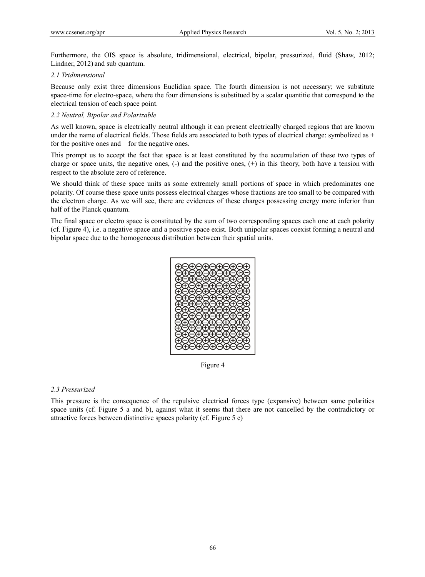Furthermore, the OIS space is absolute, tridimensional, electrical, bipolar, pressurized, fluid (Shaw, 2012; Lindner, 2012) and sub quantum.

## 2.1 Tridimensional

Because only exist three dimensions Euclidian space. The fourth dimension is not necessary; we substitute space-time for electro-space, where the four dimensions is substitued by a scalar quantitie that correspond to the electrical tension of each space point.

# 2.2 Neutral, Bipolar and Polarizable

As well known, space is electrically neutral although it can present electrically charged regions that are known under the name of electrical fields. Those fields are associated to both types of electrical charge: symbolized as  $+$ for the positive ones and  $-$  for the negative ones.

This prompt us to accept the fact that space is at least constituted by the accumulation of these two types of charge or space units, the negative ones,  $(-)$  and the positive ones,  $(+)$  in this theory, both have a tension with respect to the absolute zero of reference.

We should think of these space units as some extremely small portions of space in which predominates one polarity. Of course these space units possess electrical charges whose fractions are too small to be compared with the electron charge. As we will see, there are evidences of these charges possessing energy more inferior than half of the Planck quantum.

The final space or electro space is constituted by the sum of two corresponding spaces each one at each polarity (cf. Figure 4), i.e. a negative space and a positive space exist. Both unipolar spaces coexist forming a neutral and bipolar space due to the homogeneous distribution between their spatial units.



Figure 4

# 2.3 Pressurized

This pressure is the consequence of the repulsive electrical forces type (expansive) between same polarities space units (cf. Figure 5 a and b), against what it seems that there are not cancelled by the contradictory or attractive forces between distinctive spaces polarity (cf. Figure 5 c)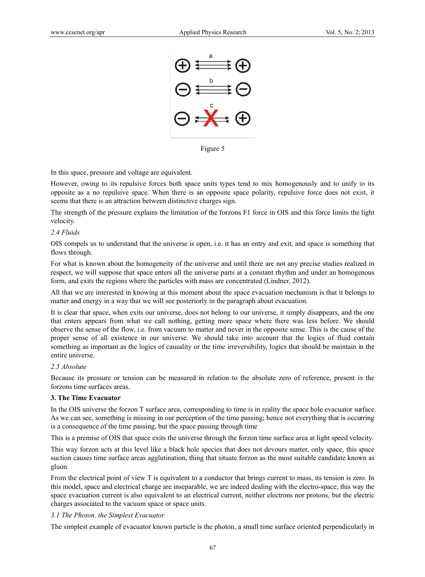

Figure 5

In this space, pressure and voltage are equivalent.

However, owing to its repulsive forces both space units types tend to mix homogenously and to unify to its opposite as a no repulsive space. When there is an opposite space polarity, repulsive force does not exist, it seems that there is an attraction between distinctive charges sign.

The strength of the pressure explains the limitation of the forzons F1 force in OIS and this force limits the light velocity.

## *2.4 Fluids*

OIS compels us to understand that the universe is open, i.e. it has an entry and exit, and space is something that flows through.

For what is known about the homogeneity of the universe and until there are not any precise studies realized in respect, we will suppose that space enters all the universe parts at a constant rhythm and under an homogenous form, and exits the regions where the particles with mass are concentrated (Lindner, 2012).

All that we are interested in knowing at this moment about the space evacuation mechanism is that it belongs to matter and energy in a way that we will see posteriorly in the paragraph about evacuation.

It is clear that space, when exits our universe, does not belong to our universe, it simply disappears, and the one that enters appears from what we call nothing, getting more space where there was less before. We should observe the sense of the flow, i.e. from vacuum to matter and never in the opposite sense. This is the cause of the proper sense of all existence in our universe. We should take into account that the logics of fluid contain something as important as the logics of causality or the time irreversibility, logics that should be maintain in the entire universe.

# 2.5 *Absolute*

Because its pressure or tension can be measured in relation to the absolute zero of reference, present in the forzons time surfaces areas.

# **3. The Time Evacuator**

In the OIS universe the forzon T surface area, corresponding to time is in reality the space hole evacuator surface. As we can see, something is missing in our perception of the time passing; hence not everything that is occurring is a consequence of the time passing, but the space passing through time

This is a premise of OIS that space exits the universe through the forzon time surface area at light speed velocity.

This way forzon acts at this level like a black hole species that does not devours matter, only space, this space suction causes time surface areas agglutination, thing that situate forzon as the most suitable candidate known as gluon.

From the electrical point of view T is equivalent to a conductor that brings current to mass, its tension is zero. In this model, space and electrical charge are inseparable, we are indeed dealing with the electro-space, this way the space evacuation current is also equivalent to an electrical current, neither electrons nor protons, but the electric charges associated to the vacuum space or space units.

# 3.1 The Photon, the Simplest Evacuator

The simplest example of evacuator known particle is the photon, a small time surface oriented perpendicularly in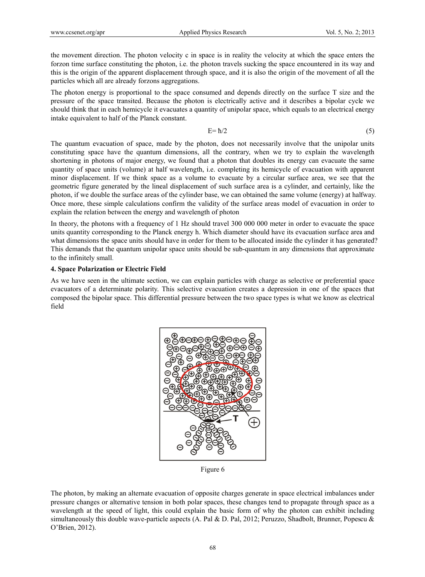the movement direction. The photon velocity c in space is in reality the velocity at which the space enters the forzon time surface constituting the photon, i.e. the photon travels sucking the space encountered in its way and this is the origin of the apparent displacement through space, and it is also the origin of the movement of all the particles which all are already forzons aggregations.

The photon energy is proportional to the space consumed and depends directly on the surface T size and the pressure of the space transited. Because the photon is electrically active and it describes a bipolar cycle we should think that in each hemicycle it evacuates a quantity of unipolar space, which equals to an electrical energy intake equivalent to half of the Planck constant.

$$
E = \hbar/2 \tag{5}
$$

The quantum evacuation of space, made by the photon, does not necessarily involve that the unipolar units constituting space have the quantum dimensions, all the contrary, when we try to explain the wavelength shortening in photons of major energy, we found that a photon that doubles its energy can evacuate the same quantity of space units (volume) at half wavelength, i.e. completing its hemicycle of evacuation with apparent minor displacement. If we think space as a volume to evacuate by a circular surface area, we see that the geometric figure generated by the lineal displacement of such surface area is a cylinder, and certainly, like the photon, if we double the surface areas of the cylinder base, we can obtained the same volume (energy) at halfway. Once more, these simple calculations confirm the validity of the surface areas model of evacuation in order to explain the relation between the energy and wavelength of photon

In theory, the photons with a frequency of 1 Hz should travel 300 000 000 meter in order to evacuate the space units quantity corresponding to the Planck energy h. Which diameter should have its evacuation surface area and what dimensions the space units should have in order for them to be allocated inside the cylinder it has generated? This demands that the quantum unipolar space units should be sub-quantum in any dimensions that approximate to the infinitely small.

# 4. Space Polarization or Electric Field

As we have seen in the ultimate section, we can explain particles with charge as selective or preferential space evacuators of a determinate polarity. This selective evacuation creates a depression in one of the spaces that composed the bipolar space. This differential pressure between the two space types is what we know as electrical field



Figure 6

The photon, by making an alternate evacuation of opposite charges generate in space electrical imbalances under pressure changes or alternative tension in both polar spaces, these changes tend to propagate through space as a wavelength at the speed of light, this could explain the basic form of why the photon can exhibit including simultaneously this double wave-particle aspects (A, Pal & D, Pal, 2012; Peruzzo, Shadbolt, Brunner, Popescu & O'Brien, 2012).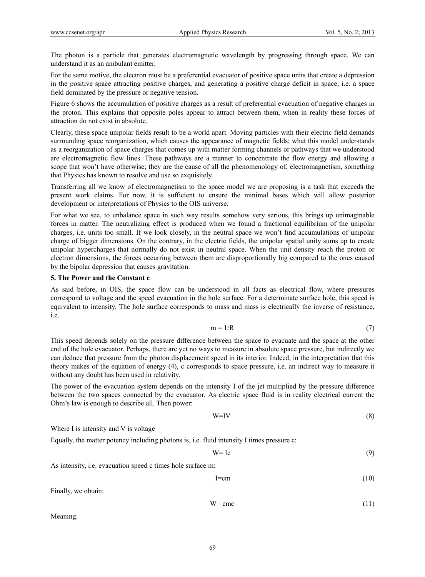The photon is a particle that generates electromagnetic wavelength by progressing through space. We can understand it as an ambulant emitter.

For the same motive, the electron must be a preferential evacuator of positive space units that create a depression in the positive space attracting positive charges, and generating a positive charge deficit in space, i.e. a space field dominated by the pressure or negative tension.

Figure 6 shows the accumulation of positive charges as a result of preferential evacuation of negative charges in the proton. This explains that opposite poles appear to attract between them, when in reality these forces of attraction do not exist in absolute.

Clearly, these space unipolar fields result to be a world apart. Moving particles with their electric field demands surrounding space reorganization, which causes the appearance of magnetic fields; what this model understands as a reorganization of space charges that comes up with matter forming channels or pathways that we understood are electromagnetic flow lines. These pathways are a manner to concentrate the flow energy and allowing a scope that won't have otherwise; they are the cause of all the phenomenology of, electromagnetism, something that Physics has known to resolve and use so exquisitely.

Transferring all we know of electromagnetism to the space model we are proposing is a task that exceeds the present work claims. For now, it is sufficient to ensure the minimal bases which will allow posterior development or interpretations of Physics to the OIS universe.

For what we see, to unbalance space in such way results somehow very serious, this brings up unimaginable forces in matter. The neutralizing effect is produced when we found a fractional equilibrium of the unipolar charges, i.e. units too small. If we look closely, in the neutral space we won't find accumulations of unipolar charge of bigger dimensions. On the contrary, in the electric fields, the unipolar spatial unity sums up to create unipolar hypercharges that normally do not exist in neutral space. When the unit density reach the proton or electron dimensions, the forces occurring between them are disproportionally big compared to the ones caused by the bipolar depression that causes gravitation.

# **5. The Power and the Constant c**

As said before, in OIS, the space flow can be understood in all facts as electrical flow, where pressures correspond to voltage and the speed evacuation in the hole surface. For a determinate surface hole, this speed is equivalent to intensity. The hole surface corresponds to mass and mass is electrically the inverse of resistance, i.e.

$$
m = 1/R \tag{7}
$$

This speed depends solely on the pressure difference between the space to evacuate and the space at the other end of the hole evacuator. Perhaps, there are yet no ways to measure in absolute space pressure, but indirectly we can deduce that pressure from the photon displacement speed in its interior. Indeed, in the interpretation that this theory makes of the equation of energy (4), c corresponds to space pressure, i.e. an indirect way to measure it without any doubt has been used in relativity.

The power of the evacuation system depends on the intensity I of the jet multiplied by the pressure difference between the two spaces connected by the evacuator. As electric space fluid is in reality electrical current the Ohm's law is enough to describe all. Then power:

$$
W=IV
$$
 (8)

Where I is intensity and V is voltage

Equally, the matter potency including photons is, i.e. fluid intensity I times pressure c:

$$
W = Ic \tag{9}
$$

As intensity, i.e. evacuation speed c times hole surface m:

 $I=cm$  (10)

Finally, we obtain:

 $W = \text{cmc}$  (11)

Meaning: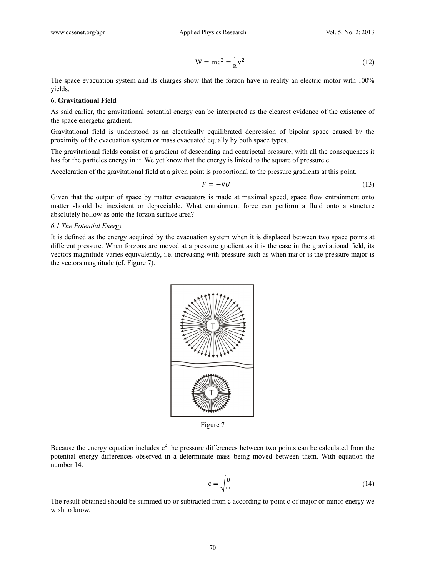$$
W = mc^2 = \frac{1}{R}v^2
$$
 (12)

The space evacuation system and its charges show that the forzon have in reality an electric motor with 100% yields.

# **6. Gravitational Field**

As said earlier, the gravitational potential energy can be interpreted as the clearest evidence of the existence of the space energetic gradient.

Gravitational field is understood as an electrically equilibrated depression of bipolar space caused by the proximity of the evacuation system or mass evacuated equally by both space types.

The gravitational fields consist of a gradient of descending and centripetal pressure, with all the consequences it has for the particles energy in it. We yet know that the energy is linked to the square of pressure c.

Acceleration of the gravitational field at a given point is proportional to the pressure gradients at this point.

$$
F = -\nabla U \tag{13}
$$

Given that the output of space by matter evacuators is made at maximal speed, space flow entrainment onto matter should be inexistent or depreciable. What entrainment force can perform a fluid onto a structure absolutely hollow as onto the forzon surface area?

# 6.1 The Potential Energy

It is defined as the energy acquired by the evacuation system when it is displaced between two space points at different pressure. When forzons are moved at a pressure gradient as it is the case in the gravitational field, its vectors magnitude varies equivalently, i.e. increasing with pressure such as when major is the pressure major is the vectors magnitude (cf. Figure 7).



Figure 7

Because the energy equation includes  $c^2$  the pressure differences between two points can be calculated from the potential energy differences observed in a determinate mass being moved between them. With equation the number 14.

$$
c = \sqrt{\frac{U}{m}}\tag{14}
$$

The result obtained should be summed up or subtracted from c according to point c of major or minor energy we wish to know.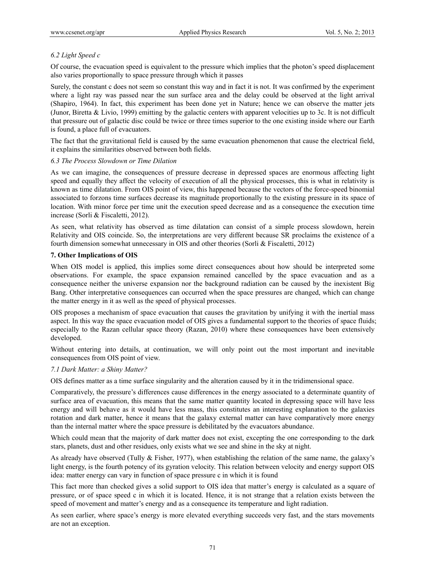# *6.2 Light Speed c*

Of course, the evacuation speed is equivalent to the pressure which implies that the photon's speed displacement also varies proportionally to space pressure through which it passes

Surely, the constant c does not seem so constant this way and in fact it is not. It was confirmed by the experiment where a light ray was passed near the sun surface area and the delay could be observed at the light arrival (Shapiro, 1964). In fact, this experiment has been done yet in Nature; hence we can observe the matter jets (Junor, Biretta & Livio, 1999) emitting by the galactic centers with apparent velocities up to 3c. It is not difficult that pressure out of galactic disc could be twice or three times superior to the one existing inside where our Earth is found, a place full of evacuators.

The fact that the gravitational field is caused by the same evacuation phenomenon that cause the electrical field, it explains the similarities observed between both fields.

## *6.3 The Process Slowdown or Time Dilation*

As we can imagine, the consequences of pressure decrease in depressed spaces are enormous affecting light speed and equally they affect the velocity of execution of all the physical processes, this is what in relativity is known as time dilatation. From OIS point of view, this happened because the vectors of the force-speed binomial associated to forzons time surfaces decrease its magnitude proportionally to the existing pressure in its space of location. With minor force per time unit the execution speed decrease and as a consequence the execution time increase (Sorli & Fiscaletti, 2012).

As seen, what relativity has observed as time dilatation can consist of a simple process slowdown, herein Relativity and OIS coincide. So, the interpretations are very different because SR proclaims the existence of a fourth dimension somewhat unnecessary in OIS and other theories (Sorli & Fiscaletti, 2012)

## **7. Other Implications of OIS**

When OIS model is applied, this implies some direct consequences about how should be interpreted some observations. For example, the space expansion remained cancelled by the space evacuation and as a consequence neither the universe expansion nor the background radiation can be caused by the inexistent Big Bang. Other interpretative consequences can occurred when the space pressures are changed, which can change the matter energy in it as well as the speed of physical processes.

OIS proposes a mechanism of space evacuation that causes the gravitation by unifying it with the inertial mass aspect. In this way the space evacuation model of OIS gives a fundamental support to the theories of space fluids; especially to the Razan cellular space theory (Razan, 2010) where these consequences have been extensively developed.

Without entering into details, at continuation, we will only point out the most important and inevitable consequences from OIS point of view.

#### *7.1 Dark Matter: a Shiny Matter?*

OIS defines matter as a time surface singularity and the alteration caused by it in the tridimensional space.

Comparatively, the pressure's differences cause differences in the energy associated to a determinate quantity of surface area of evacuation, this means that the same matter quantity located in depressing space will have less energy and will behave as it would have less mass, this constitutes an interesting explanation to the galaxies rotation and dark matter, hence it means that the galaxy external matter can have comparatively more energy than the internal matter where the space pressure is debilitated by the evacuators abundance.

Which could mean that the majority of dark matter does not exist, excepting the one corresponding to the dark stars, planets, dust and other residues, only exists what we see and shine in the sky at night.

As already have observed (Tully & Fisher, 1977), when establishing the relation of the same name, the galaxy's light energy, is the fourth potency of its gyration velocity. This relation between velocity and energy support OIS idea: matter energy can vary in function of space pressure c in which it is found

This fact more than checked gives a solid support to OIS idea that matter's energy is calculated as a square of pressure, or of space speed c in which it is located. Hence, it is not strange that a relation exists between the speed of movement and matter's energy and as a consequence its temperature and light radiation.

As seen earlier, where space's energy is more elevated everything succeeds very fast, and the stars movements are not an exception.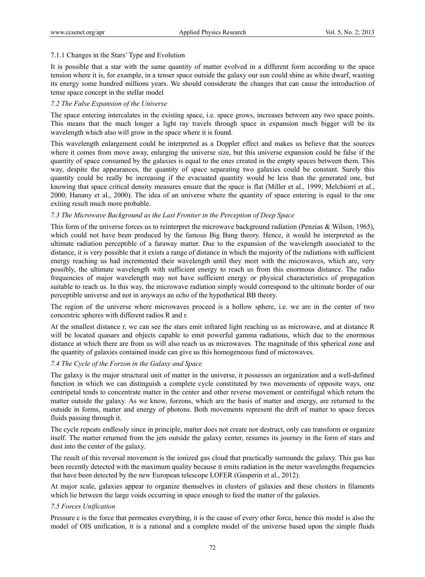# 7.1.1 Changes in the Stars' Type and Evolution

It is possible that a star with the same quantity of matter evolved in a different form according to the space tension where it is, for example, in a tenser space outside the galaxy our sun could shine as white dwarf, wasting its energy some hundred millions years. We should considerate the changes that can cause the introduction of tense space concept in the stellar model

# *7.2 The False Expansion of the Universe*

The space entering intercalates in the existing space, i.e. space grows, increases between any two space points. This means that the much longer a light ray travels through space in expansion much bigger will be its wavelength which also will grow in the space where it is found.

This wavelength enlargement could be interpreted as a Doppler effect and makes us believe that the sources where it comes from move away, enlarging the universe size, but this universe expansion could be false if the quantity of space consumed by the galaxies is equal to the ones created in the empty spaces between them. This way, despite the appearances, the quantity of space separating two galaxies could be constant. Surely this quantity could be really be increasing if the evacuated quantity would be less than the generated one, but knowing that space critical density measures ensure that the space is flat (Miller et al., 1999; Melchiorri et al., 2000; Hanany et al., 2000). The idea of an universe where the quantity of space entering is equal to the one exiting result much more probable.

# *7.3 The Microwave Background as the Last Frontier in the Perception of Deep Space*

This form of the universe forces us to reinterpret the microwave background radiation (Penzias & Wilson, 1965), which could not have been produced by the famous Big Bang theory. Hence, it would be interpreted as the ultimate radiation perceptible of a faraway matter. Due to the expansion of the wavelength associated to the distance, it is very possible that it exists a range of distance in which the majority of the radiations with sufficient energy reaching us had incremented their wavelength until they meet with the microwaves, which are, very possibly, the ultimate wavelength with sufficient energy to reach us from this enormous distance. The radio frequencies of major wavelength may not have sufficient energy or physical characteristics of propagation suitable to reach us. In this way, the microwave radiation simply would correspond to the ultimate border of our perceptible universe and not in anyways an echo of the hypothetical BB theory.

The region of the universe where microwaves proceed is a hollow sphere, i.e. we are in the center of two concentric spheres with different radios R and r.

At the smallest distance r, we can see the stars emit infrared light reaching us as microwave, and at distance R will be located quasars and objects capable to emit powerful gamma radiations, which due to the enormous distance at which there are from us will also reach us as microwaves. The magnitude of this spherical zone and the quantity of galaxies contained inside can give us this homogeneous fund of microwaves.

# *7.4 The Cycle of the Forzon in the Galaxy and Space*

The galaxy is the major structural unit of matter in the universe, it possesses an organization and a well-defined function in which we can distinguish a complete cycle constituted by two movements of opposite ways, one centripetal tends to concentrate matter in the center and other reverse movement or centrifugal which return the matter outside the galaxy. As we know, forzons, which are the basis of matter and energy, are returned to the outside in forms, matter and energy of photons. Both movements represent the drift of matter to space forces fluids passing through it.

The cycle repeats endlessly since in principle, matter does not create nor destruct, only can transform or organize itself. The matter returned from the jets outside the galaxy center, resumes its journey in the form of stars and dust into the center of the galaxy.

The result of this reversal movement is the ionized gas cloud that practically surrounds the galaxy. This gas has been recently detected with the maximum quality because it emits radiation in the meter wavelengths frequencies that have been detected by the new European telescope LOFER (Gasperin et al., 2012).

At major scale, galaxies appear to organize themselves in clusters of galaxies and these clusters in filaments which lie between the large voids occurring in space enough to feed the matter of the galaxies.

# *7.5 Forces Unification*

Pressure c is the force that permeates everything, it is the cause of every other force, hence this model is also the model of OIS unification, it is a rational and a complete model of the universe based upon the simple fluids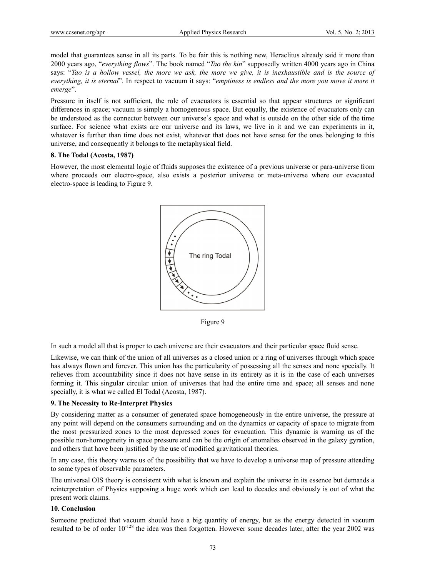model that guarantees sense in all its parts. To be fair this is nothing new, Heraclitus already said it more than 2000 years ago, "everything flows". The book named "Tao the kin" supposedly written 4000 years ago in China says: "Tao is a hollow vessel, the more we ask, the more we give, it is inexhaustible and is the source of everything, it is eternal". In respect to vacuum it says: "emptiness is endless and the more you move it more it emerge".

Pressure in itself is not sufficient, the role of evacuators is essential so that appear structures or significant differences in space; vacuum is simply a homogeneous space. But equally, the existence of evacuators only can be understood as the connector between our universe's space and what is outside on the other side of the time surface. For science what exists are our universe and its laws, we live in it and we can experiments in it. whatever is further than time does not exist, whatever that does not have sense for the ones belonging to this universe, and consequently it belongs to the metaphysical field.

# 8. The Todal (Acosta, 1987)

However, the most elemental logic of fluids supposes the existence of a previous universe or para-universe from where proceeds our electro-space, also exists a posterior universe or meta-universe where our evacuated electro-space is leading to Figure 9.



Figure 9

In such a model all that is proper to each universe are their evacuators and their particular space fluid sense.

Likewise, we can think of the union of all universes as a closed union or a ring of universes through which space has always flown and forever. This union has the particularity of possessing all the senses and none specially. It relieves from accountability since it does not have sense in its entirety as it is in the case of each universes forming it. This singular circular union of universes that had the entire time and space; all senses and none specially, it is what we called El Todal (Acosta, 1987).

#### 9. The Necessity to Re-Interpret Physics

By considering matter as a consumer of generated space homogeneously in the entire universe, the pressure at any point will depend on the consumers surrounding and on the dynamics or capacity of space to migrate from the most pressurized zones to the most depressed zones for evacuation. This dynamic is warning us of the possible non-homogeneity in space pressure and can be the origin of anomalies observed in the galaxy gyration, and others that have been justified by the use of modified gravitational theories.

In any case, this theory warns us of the possibility that we have to develop a universe map of pressure attending to some types of observable parameters.

The universal OIS theory is consistent with what is known and explain the universe in its essence but demands a reinterpretation of Physics supposing a huge work which can lead to decades and obviously is out of what the present work claims.

#### 10. Conclusion

Someone predicted that vacuum should have a big quantity of energy, but as the energy detected in vacuum resulted to be of order  $10^{-128}$  the idea was then forgotten. However some decades later, after the year 2002 was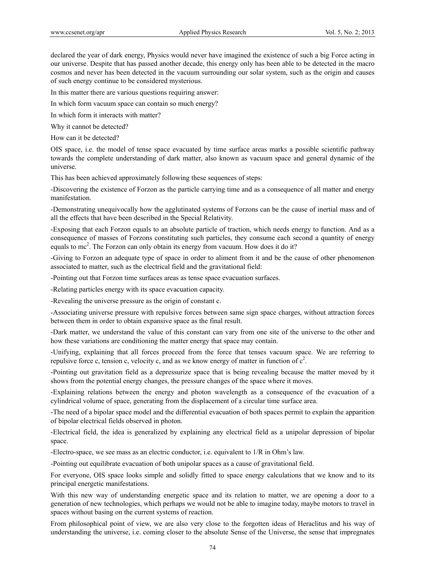declared the year of dark energy, Physics would never have imagined the existence of such a big Force acting in our universe. Despite that has passed another decade, this energy only has been able to be detected in the macro cosmos and never has been detected in the vacuum surrounding our solar system, such as the origin and causes of such energy continue to be considered mysterious.

In this matter there are various questions requiring answer:

In which form vacuum space can contain so much energy?

In which form it interacts with matter?

Why it cannot be detected?

How can it be detected?

OIS space, i.e. the model of tense space evacuated by time surface areas marks a possible scientific pathway towards the complete understanding of dark matter, also known as vacuum space and general dynamic of the universe.

This has been achieved approximately following these sequences of steps:

-Discovering the existence of Forzon as the particle carrying time and as a consequence of all matter and energy manifestation.

-Demonstrating unequivocally how the agglutinated systems of Forzons can be the cause of inertial mass and of all the effects that have been described in the Special Relativity.

-Exposing that each Forzon equals to an absolute particle of traction, which needs energy to function. And as a consequence of masses of Forzons constituting such particles, they consume each second a quantity of energy equals to mc<sup>2</sup>. The Forzon can only obtain its energy from vacuum. How does it do it?

-Giving to Forzon an adequate type of space in order to aliment from it and be the cause of other phenomenon associated to matter, such as the electrical field and the gravitational field:

-Pointing out that Forzon time surfaces areas as tense space evacuation surfaces.

-Relating particles energy with its space evacuation capacity.

-Revealing the universe pressure as the origin of constant c.

-Associating universe pressure with repulsive forces between same sign space charges, without attraction forces between them in order to obtain expansive space as the final result.

-Dark matter, we understand the value of this constant can vary from one site of the universe to the other and how these variations are conditioning the matter energy that space may contain.

-Unifying, explaining that all forces proceed from the force that tenses vacuum space. We are referring to repulsive force c, tension c, velocity c, and as we know energy of matter in function of  $c^2$ .

-Pointing out gravitation field as a depressurize space that is being revealing because the matter moved by it shows from the potential energy changes, the pressure changes of the space where it moves.

-Explaining relations between the energy and photon wavelength as a consequence of the evacuation of a cylindrical volume of space, generating from the displacement of a circular time surface area.

-The need of a bipolar space model and the differential evacuation of both spaces permit to explain the apparition of bipolar electrical fields observed in photon.

-Electrical field, the idea is generalized by explaining any electrical field as a unipolar depression of bipolar space.

-Electro-space, we see mass as an electric conductor, i.e. equivalent to 1/R in Ohm's law.

-Pointing out equilibrate evacuation of both unipolar spaces as a cause of gravitational field.

For everyone, OIS space looks simple and solidly fitted to space energy calculations that we know and to its principal energetic manifestations.

With this new way of understanding energetic space and its relation to matter, we are opening a door to a generation of new technologies, which perhaps we would not be able to imagine today, maybe motors to travel in spaces without basing on the current systems of reaction.

From philosophical point of view, we are also very close to the forgotten ideas of Heraclitus and his way of understanding the universe, i.e. coming closer to the absolute Sense of the Universe, the sense that impregnates